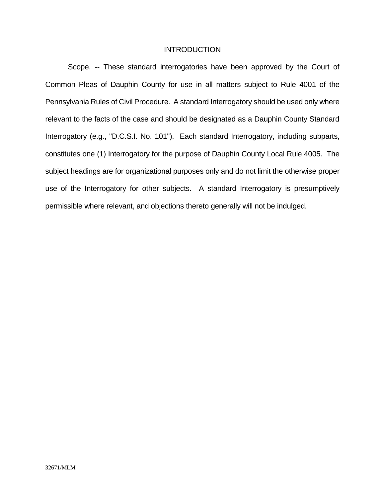#### **INTRODUCTION**

Scope. -- These standard interrogatories have been approved by the Court of Common Pleas of Dauphin County for use in all matters subject to Rule 4001 of the Pennsylvania Rules of Civil Procedure. A standard Interrogatory should be used only where relevant to the facts of the case and should be designated as a Dauphin County Standard Interrogatory (e.g., "D.C.S.I. No. 101"). Each standard Interrogatory, including subparts, constitutes one (1) Interrogatory for the purpose of Dauphin County Local Rule 4005. The subject headings are for organizational purposes only and do not limit the otherwise proper use of the Interrogatory for other subjects. A standard Interrogatory is presumptively permissible where relevant, and objections thereto generally will not be indulged.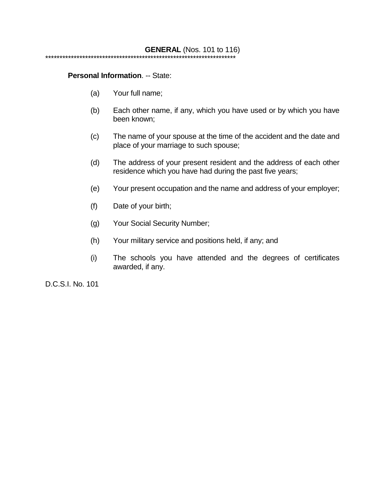#### **Personal Information**. -- State:

- (a) Your full name;
- (b) Each other name, if any, which you have used or by which you have been known;
- (c) The name of your spouse at the time of the accident and the date and place of your marriage to such spouse;
- (d) The address of your present resident and the address of each other residence which you have had during the past five years;
- (e) Your present occupation and the name and address of your employer;
- (f) Date of your birth;
- (g) Your Social Security Number;
- (h) Your military service and positions held, if any; and
- (i) The schools you have attended and the degrees of certificates awarded, if any.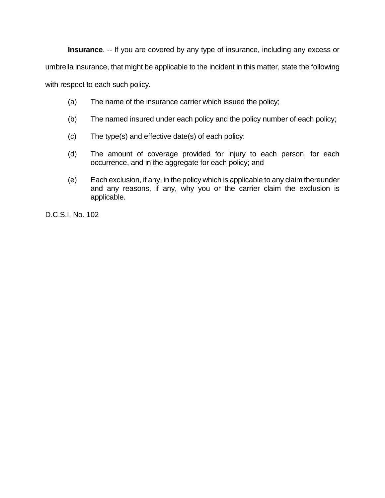**Insurance**. -- If you are covered by any type of insurance, including any excess or

umbrella insurance, that might be applicable to the incident in this matter, state the following

with respect to each such policy.

- (a) The name of the insurance carrier which issued the policy;
- (b) The named insured under each policy and the policy number of each policy;
- (c) The type(s) and effective date(s) of each policy:
- (d) The amount of coverage provided for injury to each person, for each occurrence, and in the aggregate for each policy; and
- (e) Each exclusion, if any, in the policy which is applicable to any claim thereunder and any reasons, if any, why you or the carrier claim the exclusion is applicable.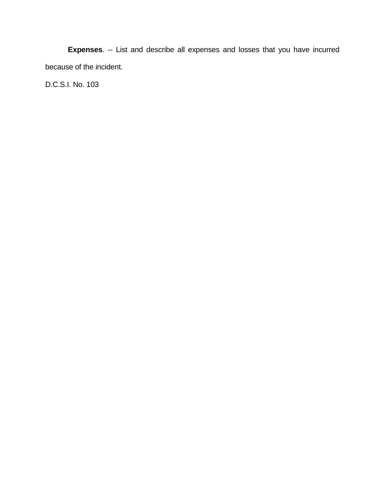**Expenses**. -- List and describe all expenses and losses that you have incurred because of the incident.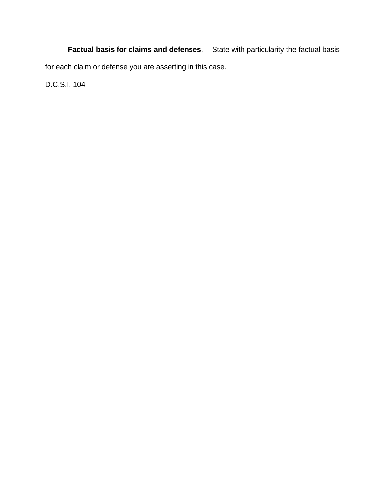**Factual basis for claims and defenses**. -- State with particularity the factual basis for each claim or defense you are asserting in this case.

D.C.S.I. 104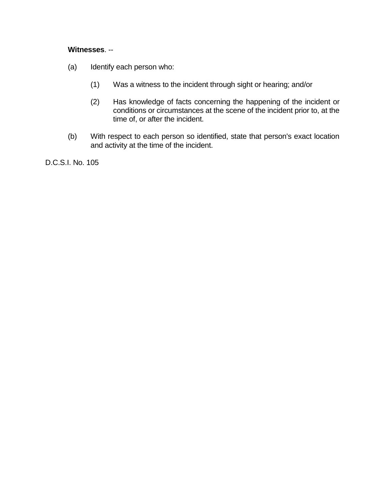### **Witnesses**. --

- (a) Identify each person who:
	- (1) Was a witness to the incident through sight or hearing; and/or
	- (2) Has knowledge of facts concerning the happening of the incident or conditions or circumstances at the scene of the incident prior to, at the time of, or after the incident.
- (b) With respect to each person so identified, state that person's exact location and activity at the time of the incident.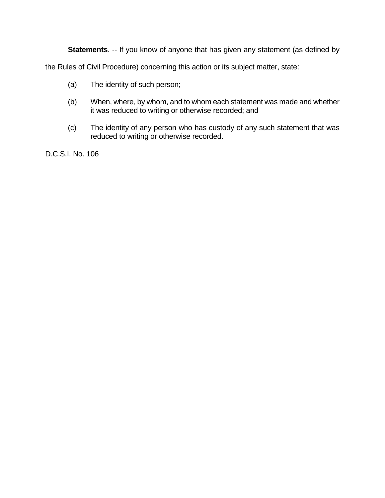**Statements**. -- If you know of anyone that has given any statement (as defined by

the Rules of Civil Procedure) concerning this action or its subject matter, state:

- (a) The identity of such person;
- (b) When, where, by whom, and to whom each statement was made and whether it was reduced to writing or otherwise recorded; and
- (c) The identity of any person who has custody of any such statement that was reduced to writing or otherwise recorded.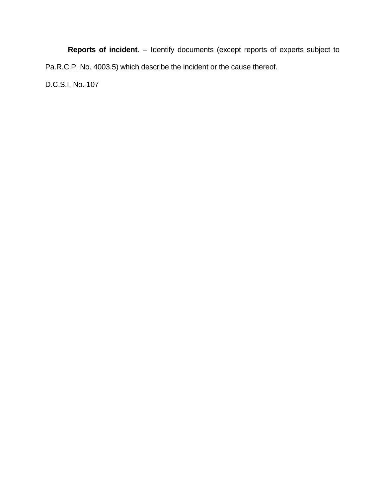**Reports of incident**. -- Identify documents (except reports of experts subject to Pa.R.C.P. No. 4003.5) which describe the incident or the cause thereof. D.C.S.I. No. 107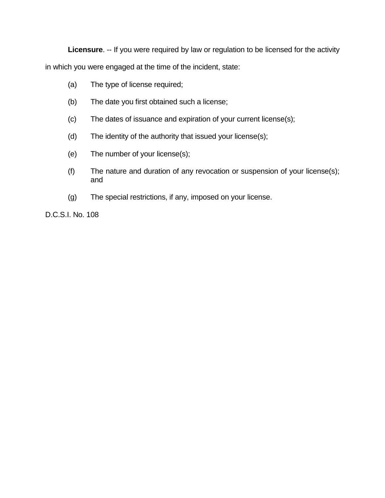**Licensure**. -- If you were required by law or regulation to be licensed for the activity in which you were engaged at the time of the incident, state:

- (a) The type of license required;
- (b) The date you first obtained such a license;
- (c) The dates of issuance and expiration of your current license(s);
- (d) The identity of the authority that issued your license(s);
- (e) The number of your license(s);
- (f) The nature and duration of any revocation or suspension of your license(s); and
- (g) The special restrictions, if any, imposed on your license.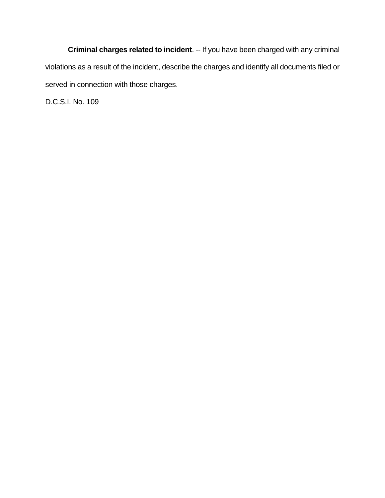**Criminal charges related to incident**. -- If you have been charged with any criminal violations as a result of the incident, describe the charges and identify all documents filed or served in connection with those charges.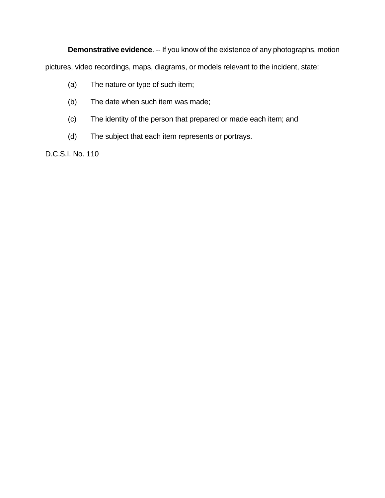**Demonstrative evidence**. -- If you know of the existence of any photographs, motion

pictures, video recordings, maps, diagrams, or models relevant to the incident, state:

- (a) The nature or type of such item;
- (b) The date when such item was made;
- (c) The identity of the person that prepared or made each item; and
- (d) The subject that each item represents or portrays.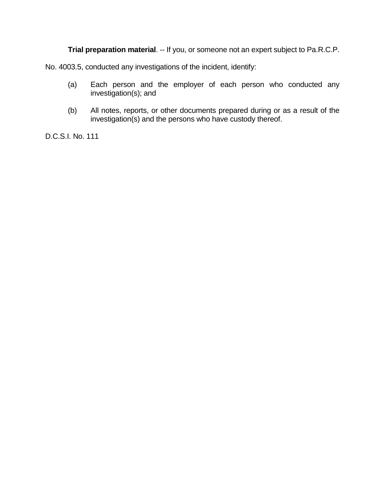**Trial preparation material**. -- If you, or someone not an expert subject to Pa.R.C.P.

No. 4003.5, conducted any investigations of the incident, identify:

- (a) Each person and the employer of each person who conducted any investigation(s); and
- (b) All notes, reports, or other documents prepared during or as a result of the investigation(s) and the persons who have custody thereof.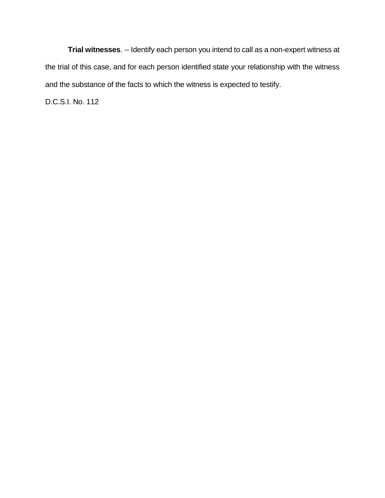**Trial witnesses**. -- Identify each person you intend to call as a non-expert witness at the trial of this case, and for each person identified state your relationship with the witness and the substance of the facts to which the witness is expected to testify.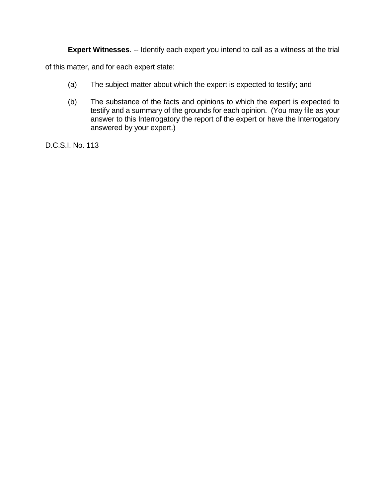**Expert Witnesses**. -- Identify each expert you intend to call as a witness at the trial

of this matter, and for each expert state:

- (a) The subject matter about which the expert is expected to testify; and
- (b) The substance of the facts and opinions to which the expert is expected to testify and a summary of the grounds for each opinion. (You may file as your answer to this Interrogatory the report of the expert or have the Interrogatory answered by your expert.)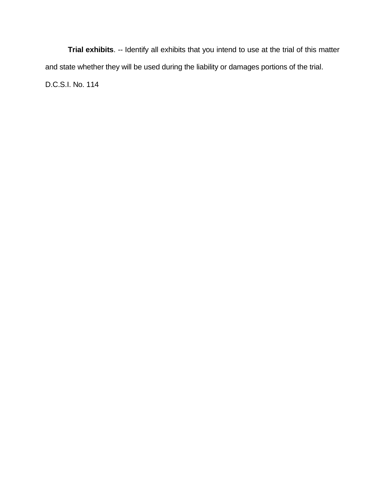**Trial exhibits**. -- Identify all exhibits that you intend to use at the trial of this matter and state whether they will be used during the liability or damages portions of the trial. D.C.S.I. No. 114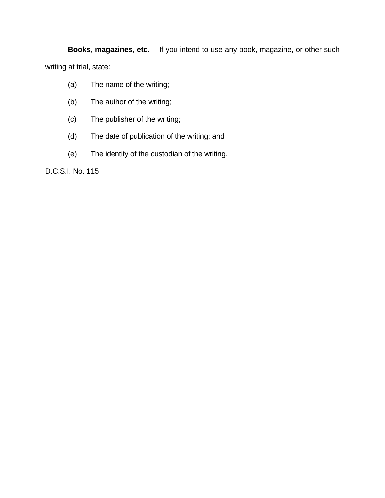**Books, magazines, etc.** -- If you intend to use any book, magazine, or other such writing at trial, state:

- (a) The name of the writing;
- (b) The author of the writing;
- (c) The publisher of the writing;
- (d) The date of publication of the writing; and
- (e) The identity of the custodian of the writing.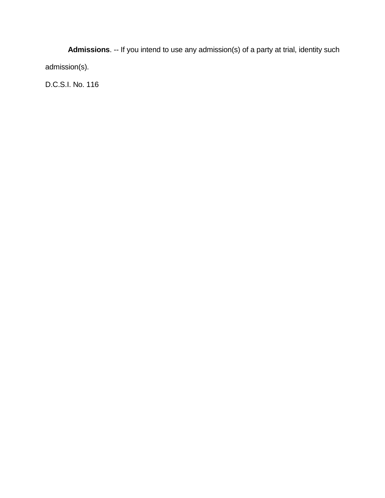**Admissions**. -- If you intend to use any admission(s) of a party at trial, identity such admission(s).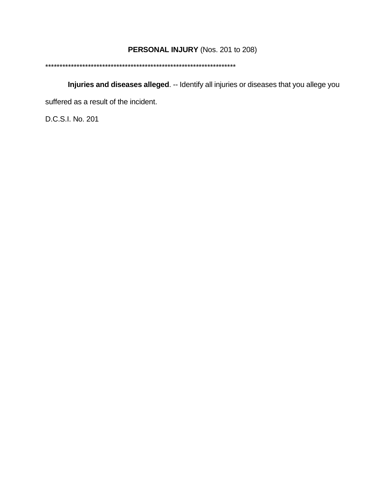# **PERSONAL INJURY** (Nos. 201 to 208)

#### \*\*\*\*\*\*\*\*\*\*\*\*\*\*\*\*\*\*\*\*\*\*\*\*\*\*\*\*\*\*\*\*\*\*\*\*\*\*\*\*\*\*\*\*\*\*\*\*\*\*\*\*\*\*\*\*\*\*\*\*\*\*\*\*\*\*\*

**Injuries and diseases alleged**. -- Identify all injuries or diseases that you allege you

suffered as a result of the incident.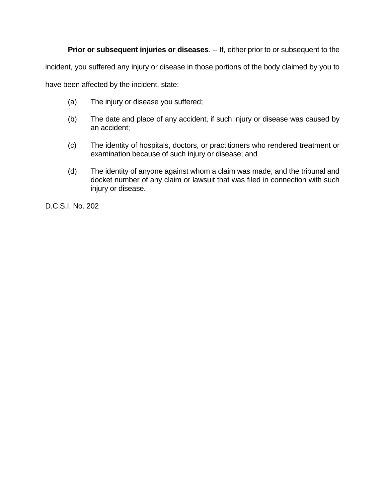**Prior or subsequent injuries or diseases.** -- If, either prior to or subsequent to the

incident, you suffered any injury or disease in those portions of the body claimed by you to

have been affected by the incident, state:

- (a) The injury or disease you suffered;
- (b) The date and place of any accident, if such injury or disease was caused by an accident;
- (c) The identity of hospitals, doctors, or practitioners who rendered treatment or examination because of such injury or disease; and
- (d) The identity of anyone against whom a claim was made, and the tribunal and docket number of any claim or lawsuit that was filed in connection with such injury or disease.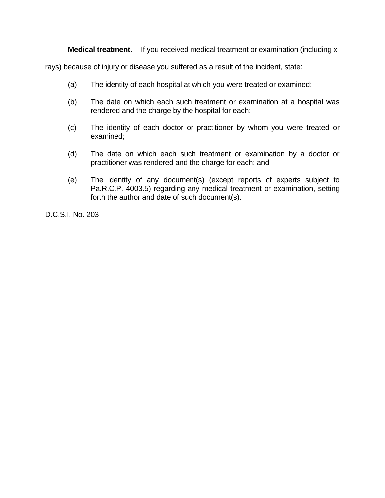**Medical treatment**. -- If you received medical treatment or examination (including x-

rays) because of injury or disease you suffered as a result of the incident, state:

- (a) The identity of each hospital at which you were treated or examined;
- (b) The date on which each such treatment or examination at a hospital was rendered and the charge by the hospital for each;
- (c) The identity of each doctor or practitioner by whom you were treated or examined;
- (d) The date on which each such treatment or examination by a doctor or practitioner was rendered and the charge for each; and
- (e) The identity of any document(s) (except reports of experts subject to Pa.R.C.P. 4003.5) regarding any medical treatment or examination, setting forth the author and date of such document(s).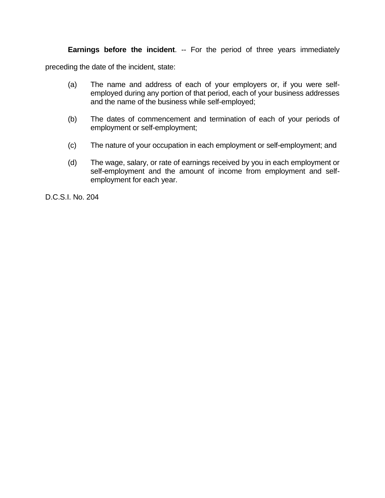### **Earnings before the incident**. -- For the period of three years immediately

preceding the date of the incident, state:

- (a) The name and address of each of your employers or, if you were selfemployed during any portion of that period, each of your business addresses and the name of the business while self-employed;
- (b) The dates of commencement and termination of each of your periods of employment or self-employment;
- (c) The nature of your occupation in each employment or self-employment; and
- (d) The wage, salary, or rate of earnings received by you in each employment or self-employment and the amount of income from employment and selfemployment for each year.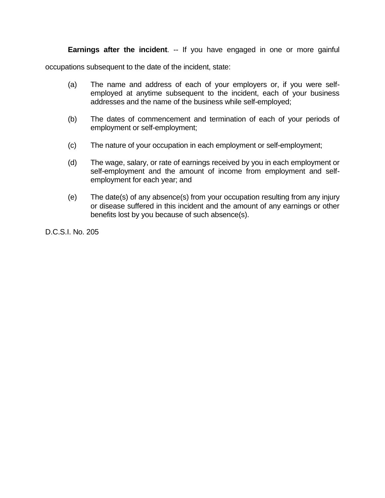**Earnings after the incident**. -- If you have engaged in one or more gainful

occupations subsequent to the date of the incident, state:

- (a) The name and address of each of your employers or, if you were selfemployed at anytime subsequent to the incident, each of your business addresses and the name of the business while self-employed;
- (b) The dates of commencement and termination of each of your periods of employment or self-employment;
- (c) The nature of your occupation in each employment or self-employment;
- (d) The wage, salary, or rate of earnings received by you in each employment or self-employment and the amount of income from employment and selfemployment for each year; and
- (e) The date(s) of any absence(s) from your occupation resulting from any injury or disease suffered in this incident and the amount of any earnings or other benefits lost by you because of such absence(s).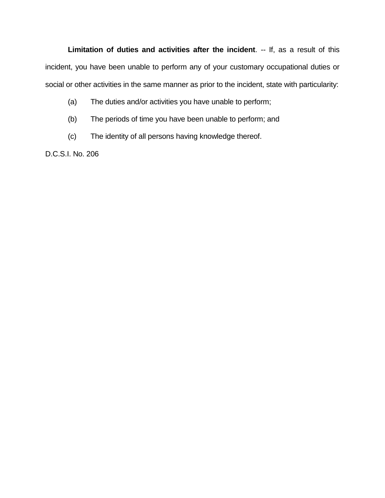Limitation of duties and activities after the incident. -- If, as a result of this incident, you have been unable to perform any of your customary occupational duties or social or other activities in the same manner as prior to the incident, state with particularity:

- (a) The duties and/or activities you have unable to perform;
- (b) The periods of time you have been unable to perform; and
- (c) The identity of all persons having knowledge thereof.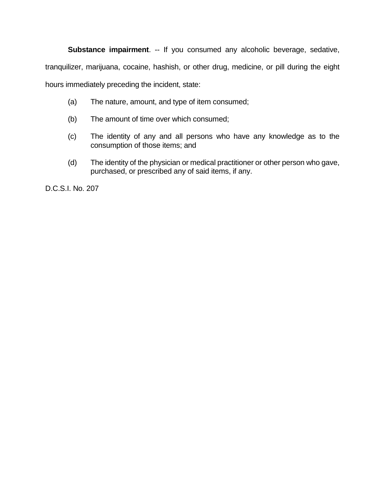**Substance impairment**. -- If you consumed any alcoholic beverage, sedative,

tranquilizer, marijuana, cocaine, hashish, or other drug, medicine, or pill during the eight

hours immediately preceding the incident, state:

- (a) The nature, amount, and type of item consumed;
- (b) The amount of time over which consumed;
- (c) The identity of any and all persons who have any knowledge as to the consumption of those items; and
- (d) The identity of the physician or medical practitioner or other person who gave, purchased, or prescribed any of said items, if any.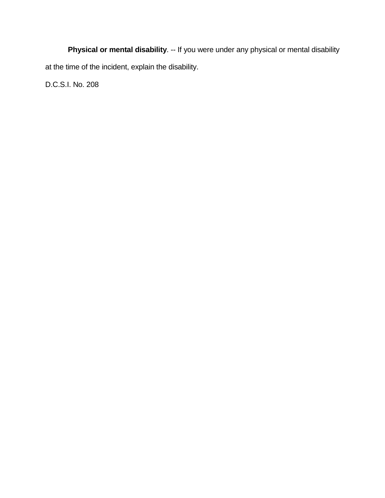**Physical or mental disability**. -- If you were under any physical or mental disability at the time of the incident, explain the disability.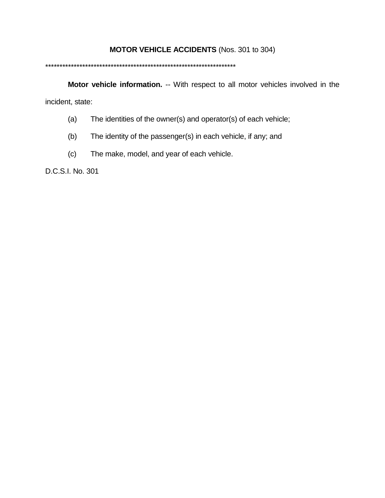## **MOTOR VEHICLE ACCIDENTS** (Nos. 301 to 304)

#### \*\*\*\*\*\*\*\*\*\*\*\*\*\*\*\*\*\*\*\*\*\*\*\*\*\*\*\*\*\*\*\*\*\*\*\*\*\*\*\*\*\*\*\*\*\*\*\*\*\*\*\*\*\*\*\*\*\*\*\*\*\*\*\*\*\*\*

**Motor vehicle information.** -- With respect to all motor vehicles involved in the incident, state:

- (a) The identities of the owner(s) and operator(s) of each vehicle;
- (b) The identity of the passenger(s) in each vehicle, if any; and
- (c) The make, model, and year of each vehicle.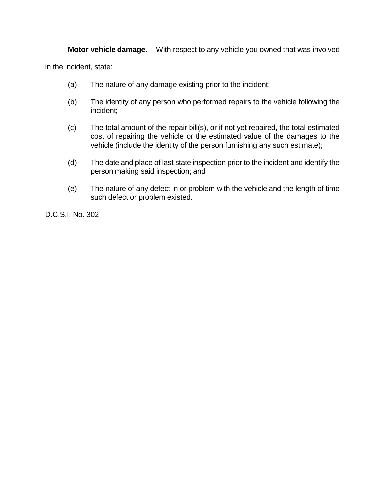**Motor vehicle damage.** -- With respect to any vehicle you owned that was involved

in the incident, state:

- (a) The nature of any damage existing prior to the incident;
- (b) The identity of any person who performed repairs to the vehicle following the incident;
- (c) The total amount of the repair bill(s), or if not yet repaired, the total estimated cost of repairing the vehicle or the estimated value of the damages to the vehicle (include the identity of the person furnishing any such estimate);
- (d) The date and place of last state inspection prior to the incident and identify the person making said inspection; and
- (e) The nature of any defect in or problem with the vehicle and the length of time such defect or problem existed.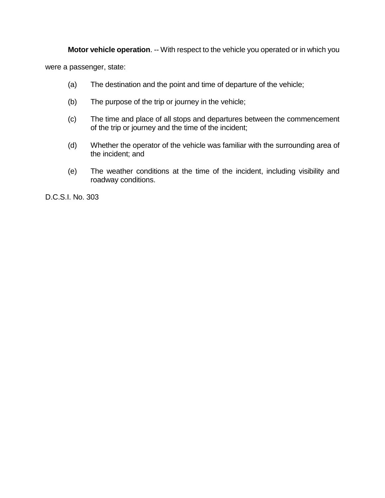**Motor vehicle operation.** -- With respect to the vehicle you operated or in which you

were a passenger, state:

- (a) The destination and the point and time of departure of the vehicle;
- (b) The purpose of the trip or journey in the vehicle;
- (c) The time and place of all stops and departures between the commencement of the trip or journey and the time of the incident;
- (d) Whether the operator of the vehicle was familiar with the surrounding area of the incident; and
- (e) The weather conditions at the time of the incident, including visibility and roadway conditions.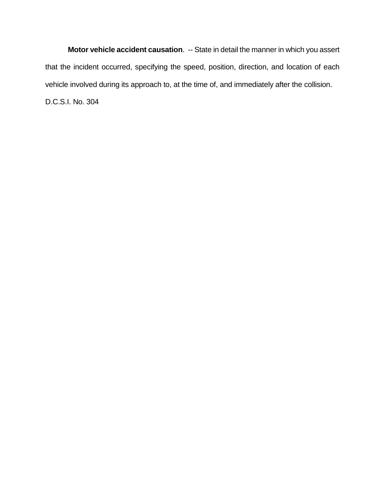**Motor vehicle accident causation**. -- State in detail the manner in which you assert that the incident occurred, specifying the speed, position, direction, and location of each vehicle involved during its approach to, at the time of, and immediately after the collision. D.C.S.I. No. 304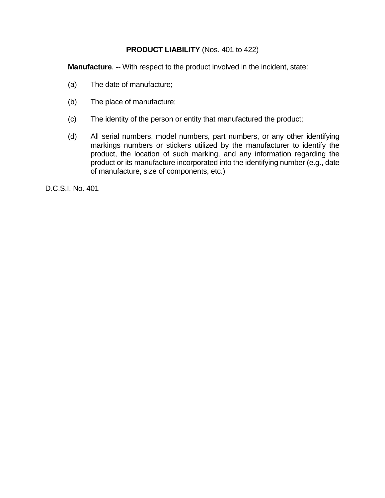## **PRODUCT LIABILITY** (Nos. 401 to 422)

**Manufacture**. -- With respect to the product involved in the incident, state:

- (a) The date of manufacture;
- (b) The place of manufacture;
- (c) The identity of the person or entity that manufactured the product;
- (d) All serial numbers, model numbers, part numbers, or any other identifying markings numbers or stickers utilized by the manufacturer to identify the product, the location of such marking, and any information regarding the product or its manufacture incorporated into the identifying number (e.g., date of manufacture, size of components, etc.)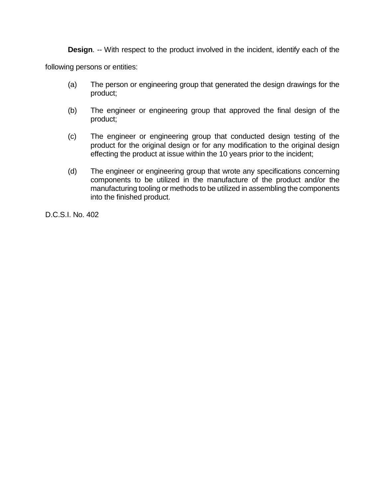**Design.** -- With respect to the product involved in the incident, identify each of the

following persons or entities:

- (a) The person or engineering group that generated the design drawings for the product;
- (b) The engineer or engineering group that approved the final design of the product;
- (c) The engineer or engineering group that conducted design testing of the product for the original design or for any modification to the original design effecting the product at issue within the 10 years prior to the incident;
- (d) The engineer or engineering group that wrote any specifications concerning components to be utilized in the manufacture of the product and/or the manufacturing tooling or methods to be utilized in assembling the components into the finished product.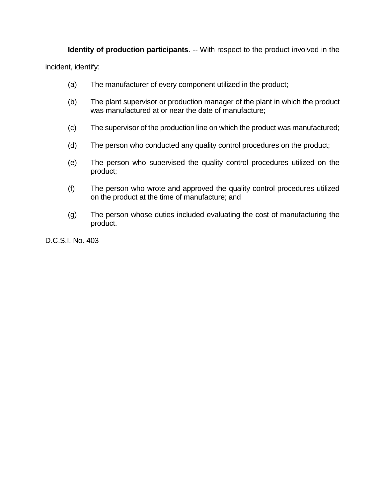**Identity of production participants.** -- With respect to the product involved in the

incident, identify:

- (a) The manufacturer of every component utilized in the product;
- (b) The plant supervisor or production manager of the plant in which the product was manufactured at or near the date of manufacture;
- (c) The supervisor of the production line on which the product was manufactured;
- (d) The person who conducted any quality control procedures on the product;
- (e) The person who supervised the quality control procedures utilized on the product;
- (f) The person who wrote and approved the quality control procedures utilized on the product at the time of manufacture; and
- (g) The person whose duties included evaluating the cost of manufacturing the product.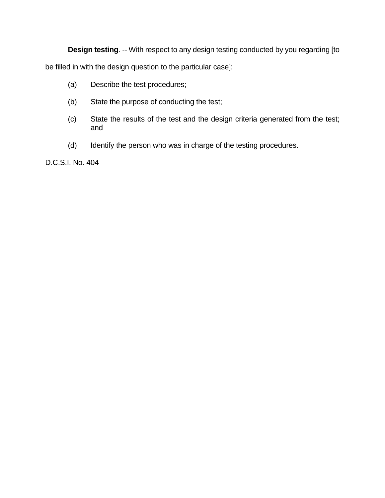**Design testing**. -- With respect to any design testing conducted by you regarding [to

be filled in with the design question to the particular case]:

- (a) Describe the test procedures;
- (b) State the purpose of conducting the test;
- (c) State the results of the test and the design criteria generated from the test; and
- (d) Identify the person who was in charge of the testing procedures.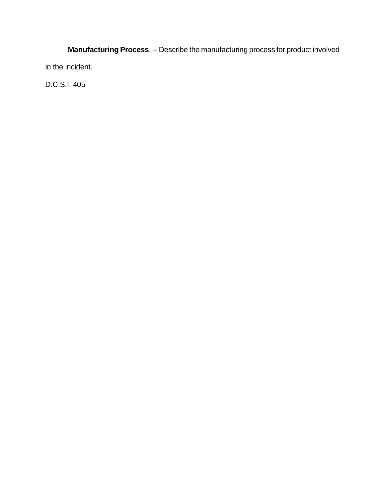**Manufacturing Process**. -- Describe the manufacturing process for product involved in the incident.

D.C.S.I. 405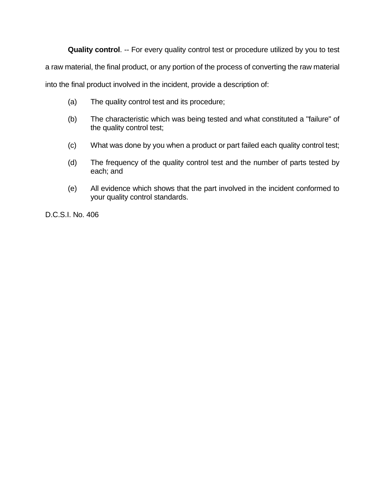**Quality control**. -- For every quality control test or procedure utilized by you to test

a raw material, the final product, or any portion of the process of converting the raw material

into the final product involved in the incident, provide a description of:

- (a) The quality control test and its procedure;
- (b) The characteristic which was being tested and what constituted a "failure" of the quality control test;
- (c) What was done by you when a product or part failed each quality control test;
- (d) The frequency of the quality control test and the number of parts tested by each; and
- (e) All evidence which shows that the part involved in the incident conformed to your quality control standards.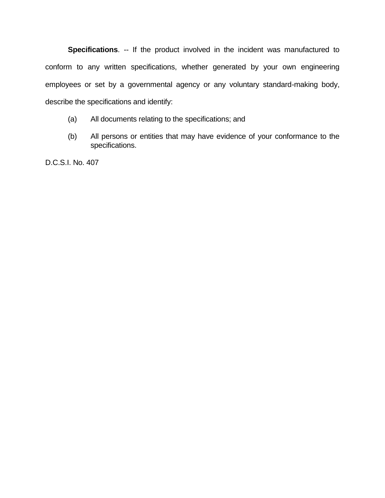**Specifications**. -- If the product involved in the incident was manufactured to conform to any written specifications, whether generated by your own engineering employees or set by a governmental agency or any voluntary standard-making body, describe the specifications and identify:

- (a) All documents relating to the specifications; and
- (b) All persons or entities that may have evidence of your conformance to the specifications.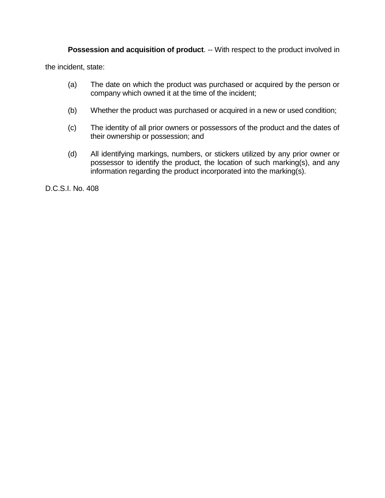**Possession and acquisition of product.** -- With respect to the product involved in

the incident, state:

- (a) The date on which the product was purchased or acquired by the person or company which owned it at the time of the incident;
- (b) Whether the product was purchased or acquired in a new or used condition;
- (c) The identity of all prior owners or possessors of the product and the dates of their ownership or possession; and
- (d) All identifying markings, numbers, or stickers utilized by any prior owner or possessor to identify the product, the location of such marking(s), and any information regarding the product incorporated into the marking(s).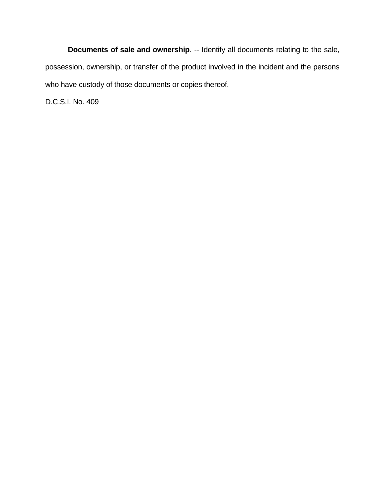**Documents of sale and ownership**. -- Identify all documents relating to the sale, possession, ownership, or transfer of the product involved in the incident and the persons who have custody of those documents or copies thereof.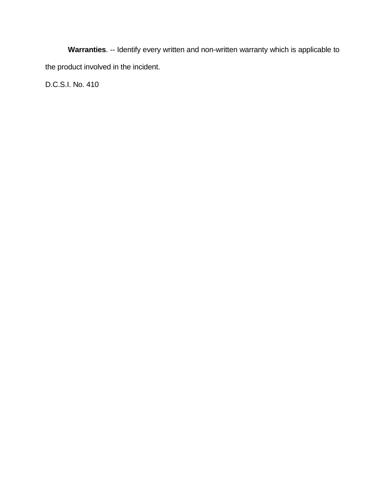**Warranties**. -- Identify every written and non-written warranty which is applicable to the product involved in the incident.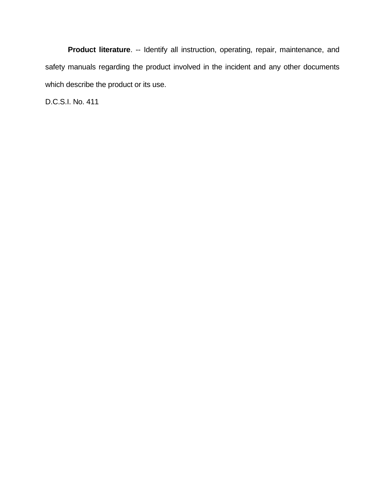**Product literature**. -- Identify all instruction, operating, repair, maintenance, and safety manuals regarding the product involved in the incident and any other documents which describe the product or its use.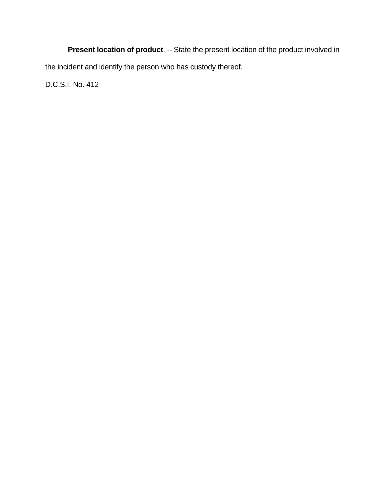**Present location of product**. -- State the present location of the product involved in the incident and identify the person who has custody thereof.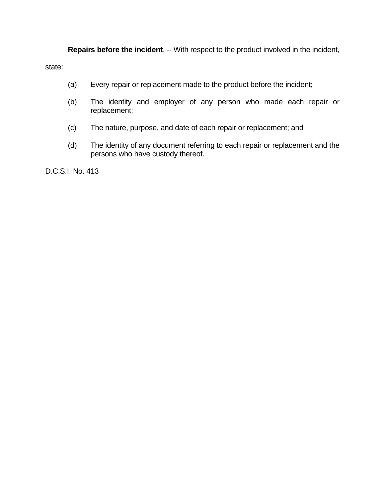**Repairs before the incident.** -- With respect to the product involved in the incident,

state:

- (a) Every repair or replacement made to the product before the incident;
- (b) The identity and employer of any person who made each repair or replacement;
- (c) The nature, purpose, and date of each repair or replacement; and
- (d) The identity of any document referring to each repair or replacement and the persons who have custody thereof.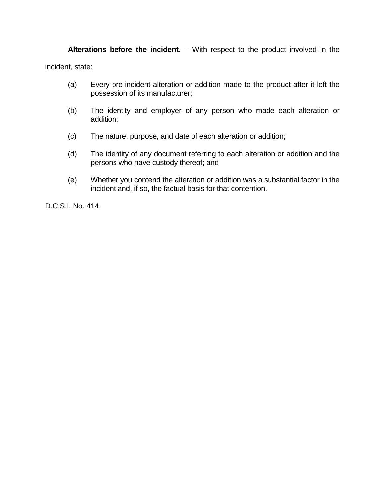**Alterations before the incident**. -- With respect to the product involved in the incident, state:

- (a) Every pre-incident alteration or addition made to the product after it left the possession of its manufacturer;
- (b) The identity and employer of any person who made each alteration or addition;
- (c) The nature, purpose, and date of each alteration or addition;
- (d) The identity of any document referring to each alteration or addition and the persons who have custody thereof; and
- (e) Whether you contend the alteration or addition was a substantial factor in the incident and, if so, the factual basis for that contention.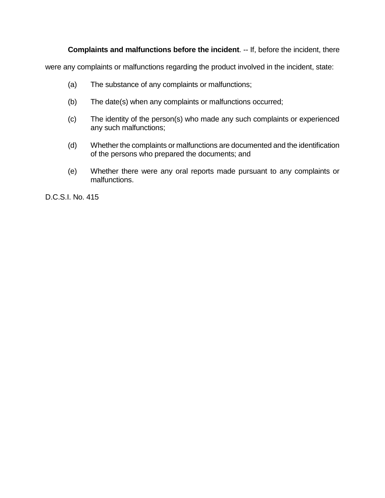# **Complaints and malfunctions before the incident**. -- If, before the incident, there

were any complaints or malfunctions regarding the product involved in the incident, state:

- (a) The substance of any complaints or malfunctions;
- (b) The date(s) when any complaints or malfunctions occurred;
- (c) The identity of the person(s) who made any such complaints or experienced any such malfunctions;
- (d) Whether the complaints or malfunctions are documented and the identification of the persons who prepared the documents; and
- (e) Whether there were any oral reports made pursuant to any complaints or malfunctions.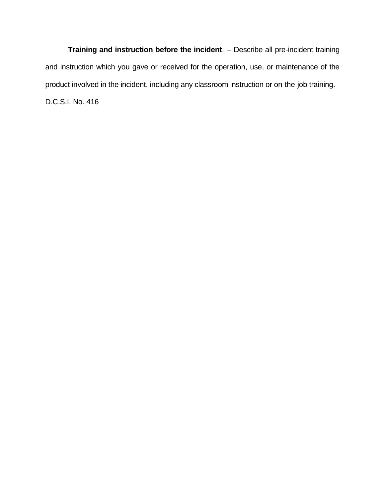**Training and instruction before the incident**. -- Describe all pre-incident training and instruction which you gave or received for the operation, use, or maintenance of the product involved in the incident, including any classroom instruction or on-the-job training. D.C.S.I. No. 416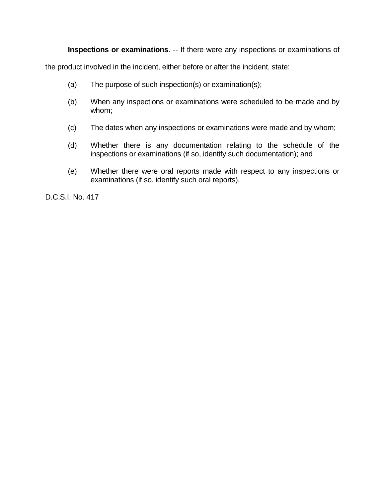**Inspections or examinations**. -- If there were any inspections or examinations of

the product involved in the incident, either before or after the incident, state:

- (a) The purpose of such inspection(s) or examination(s);
- (b) When any inspections or examinations were scheduled to be made and by whom;
- (c) The dates when any inspections or examinations were made and by whom;
- (d) Whether there is any documentation relating to the schedule of the inspections or examinations (if so, identify such documentation); and
- (e) Whether there were oral reports made with respect to any inspections or examinations (if so, identify such oral reports).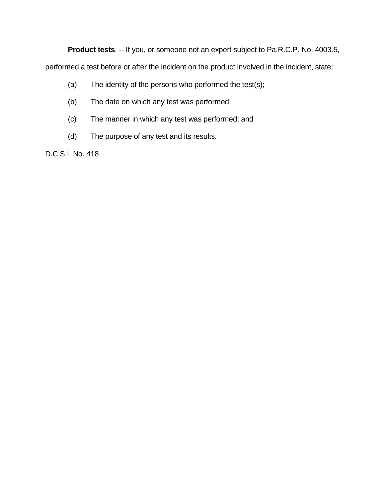**Product tests**. -- If you, or someone not an expert subject to Pa.R.C.P. No. 4003.5,

performed a test before or after the incident on the product involved in the incident, state:

- (a) The identity of the persons who performed the test(s);
- (b) The date on which any test was performed;
- (c) The manner in which any test was performed; and
- (d) The purpose of any test and its results.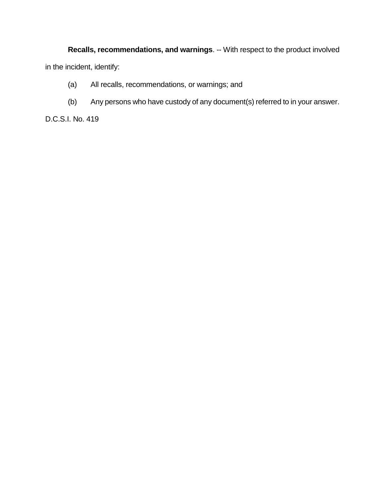**Recalls, recommendations, and warnings**. -- With respect to the product involved in the incident, identify:

- (a) All recalls, recommendations, or warnings; and
- (b) Any persons who have custody of any document(s) referred to in your answer.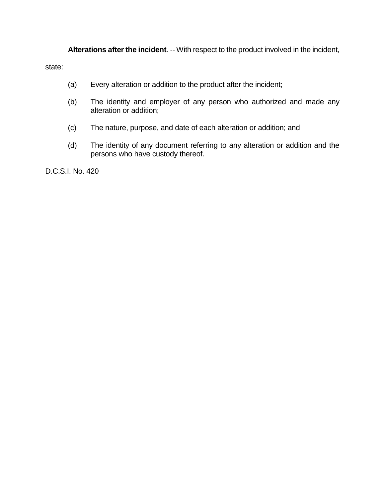**Alterations after the incident**. -- With respect to the product involved in the incident,

state:

- (a) Every alteration or addition to the product after the incident;
- (b) The identity and employer of any person who authorized and made any alteration or addition;
- (c) The nature, purpose, and date of each alteration or addition; and
- (d) The identity of any document referring to any alteration or addition and the persons who have custody thereof.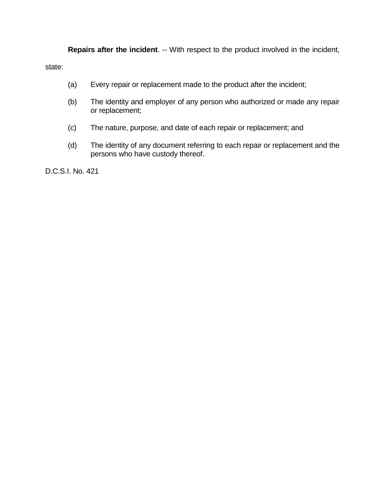**Repairs after the incident**. -- With respect to the product involved in the incident,

state:

- (a) Every repair or replacement made to the product after the incident;
- (b) The identity and employer of any person who authorized or made any repair or replacement;
- (c) The nature, purpose, and date of each repair or replacement; and
- (d) The identity of any document referring to each repair or replacement and the persons who have custody thereof.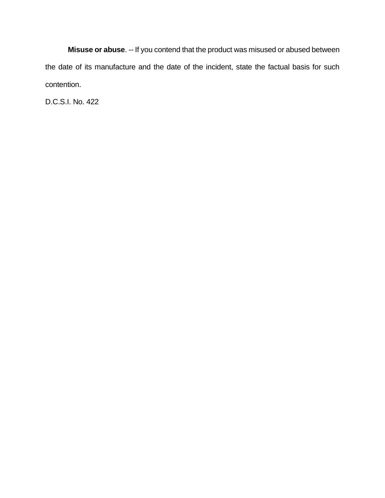**Misuse or abuse**. -- If you contend that the product was misused or abused between the date of its manufacture and the date of the incident, state the factual basis for such contention.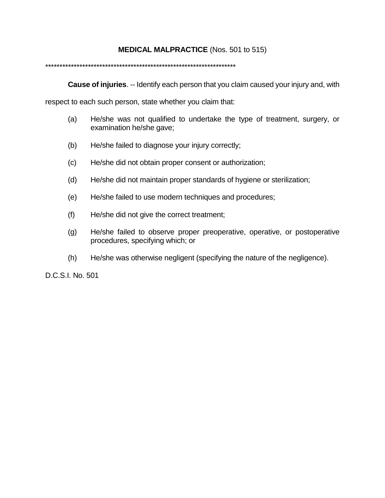### **MEDICAL MALPRACTICE** (Nos. 501 to 515)

#### \*\*\*\*\*\*\*\*\*\*\*\*\*\*\*\*\*\*\*\*\*\*\*\*\*\*\*\*\*\*\*\*\*\*\*\*\*\*\*\*\*\*\*\*\*\*\*\*\*\*\*\*\*\*\*\*\*\*\*\*\*\*\*\*\*\*\*

**Cause of injuries**. -- Identify each person that you claim caused your injury and, with

respect to each such person, state whether you claim that:

- (a) He/she was not qualified to undertake the type of treatment, surgery, or examination he/she gave;
- (b) He/she failed to diagnose your injury correctly;
- (c) He/she did not obtain proper consent or authorization;
- (d) He/she did not maintain proper standards of hygiene or sterilization;
- (e) He/she failed to use modern techniques and procedures;
- (f) He/she did not give the correct treatment;
- (g) He/she failed to observe proper preoperative, operative, or postoperative procedures, specifying which; or
- (h) He/she was otherwise negligent (specifying the nature of the negligence).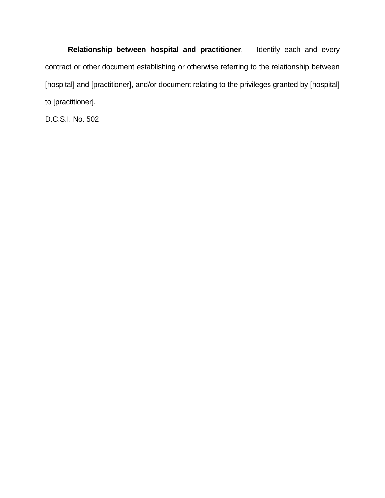**Relationship between hospital and practitioner**. -- Identify each and every contract or other document establishing or otherwise referring to the relationship between [hospital] and [practitioner], and/or document relating to the privileges granted by [hospital] to [practitioner].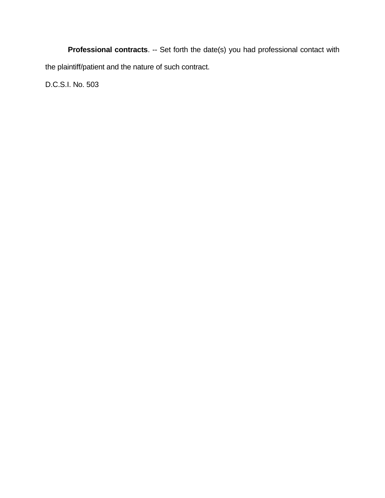**Professional contracts**. -- Set forth the date(s) you had professional contact with the plaintiff/patient and the nature of such contract.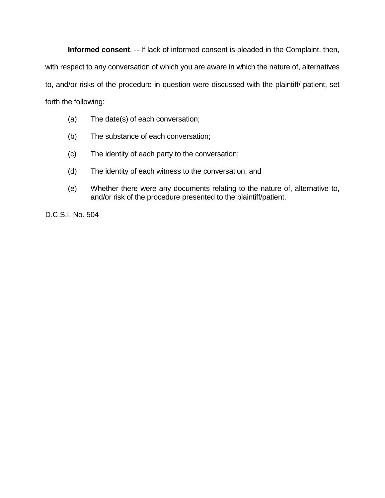**Informed consent**. -- If lack of informed consent is pleaded in the Complaint, then,

with respect to any conversation of which you are aware in which the nature of, alternatives

to, and/or risks of the procedure in question were discussed with the plaintiff/ patient, set forth the following:

- (a) The date(s) of each conversation;
- (b) The substance of each conversation;
- (c) The identity of each party to the conversation;
- (d) The identity of each witness to the conversation; and
- (e) Whether there were any documents relating to the nature of, alternative to, and/or risk of the procedure presented to the plaintiff/patient.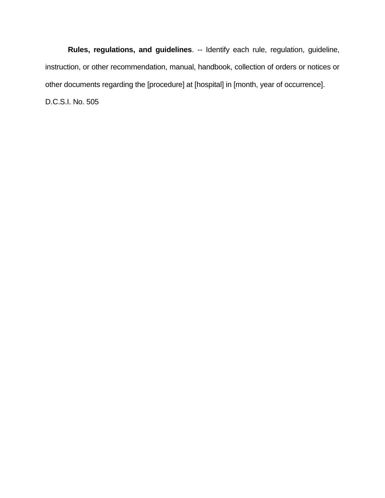**Rules, regulations, and guidelines**. -- Identify each rule, regulation, guideline, instruction, or other recommendation, manual, handbook, collection of orders or notices or other documents regarding the [procedure] at [hospital] in [month, year of occurrence]. D.C.S.I. No. 505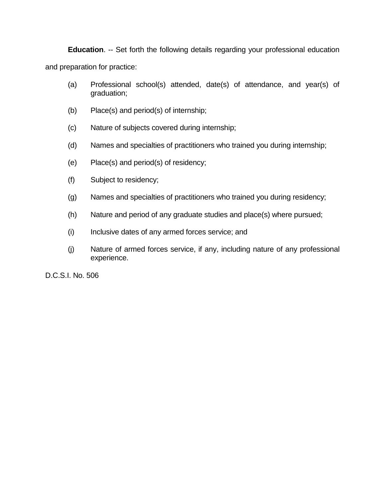**Education**. -- Set forth the following details regarding your professional education and preparation for practice:

- (a) Professional school(s) attended, date(s) of attendance, and year(s) of graduation;
- (b) Place(s) and period(s) of internship;
- (c) Nature of subjects covered during internship;
- (d) Names and specialties of practitioners who trained you during internship;
- (e) Place(s) and period(s) of residency;
- (f) Subject to residency;
- (g) Names and specialties of practitioners who trained you during residency;
- (h) Nature and period of any graduate studies and place(s) where pursued;
- (i) Inclusive dates of any armed forces service; and
- (j) Nature of armed forces service, if any, including nature of any professional experience.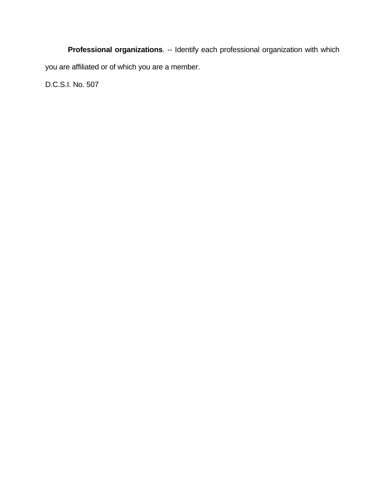**Professional organizations**. -- Identify each professional organization with which you are affiliated or of which you are a member.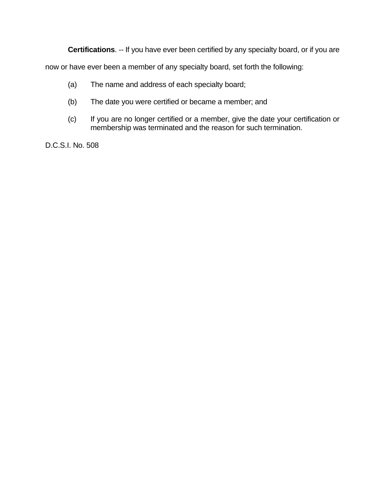**Certifications**. -- If you have ever been certified by any specialty board, or if you are

now or have ever been a member of any specialty board, set forth the following:

- (a) The name and address of each specialty board;
- (b) The date you were certified or became a member; and
- (c) If you are no longer certified or a member, give the date your certification or membership was terminated and the reason for such termination.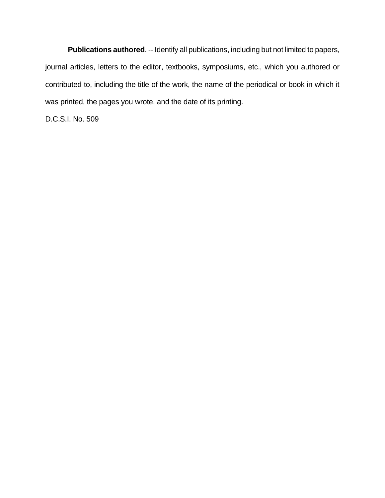**Publications authored**. -- Identify all publications, including but not limited to papers, journal articles, letters to the editor, textbooks, symposiums, etc., which you authored or contributed to, including the title of the work, the name of the periodical or book in which it was printed, the pages you wrote, and the date of its printing.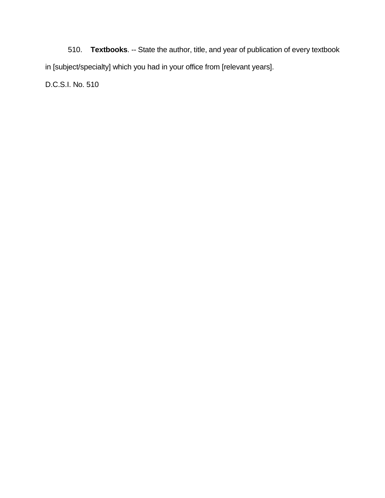510. **Textbooks**. -- State the author, title, and year of publication of every textbook in [subject/specialty] which you had in your office from [relevant years].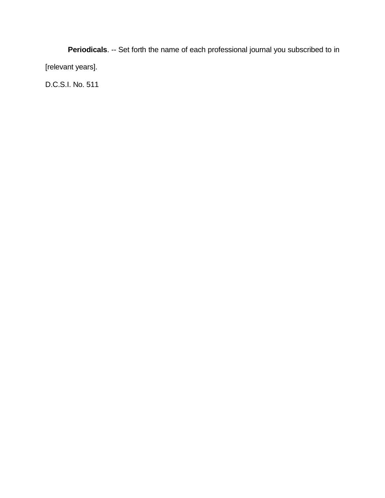**Periodicals**. -- Set forth the name of each professional journal you subscribed to in [relevant years].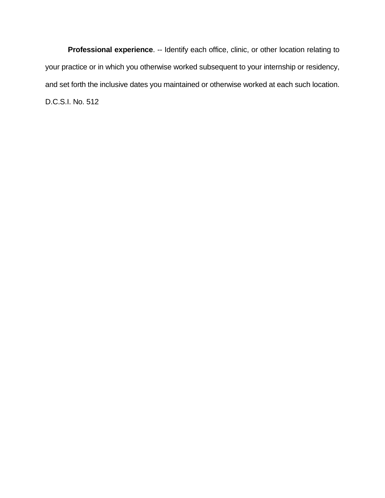**Professional experience**. -- Identify each office, clinic, or other location relating to your practice or in which you otherwise worked subsequent to your internship or residency, and set forth the inclusive dates you maintained or otherwise worked at each such location. D.C.S.I. No. 512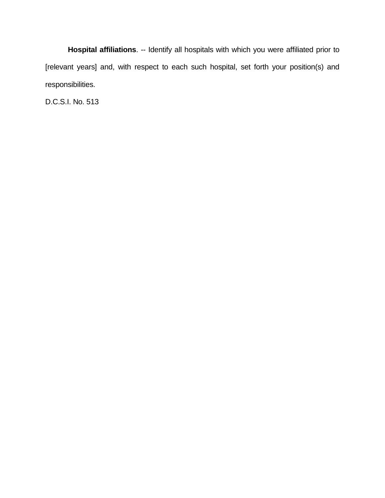**Hospital affiliations**. -- Identify all hospitals with which you were affiliated prior to [relevant years] and, with respect to each such hospital, set forth your position(s) and responsibilities.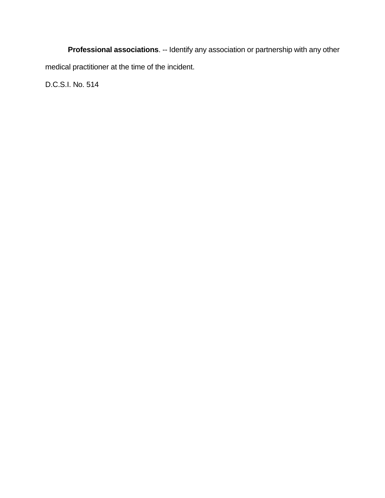**Professional associations**. -- Identify any association or partnership with any other medical practitioner at the time of the incident.